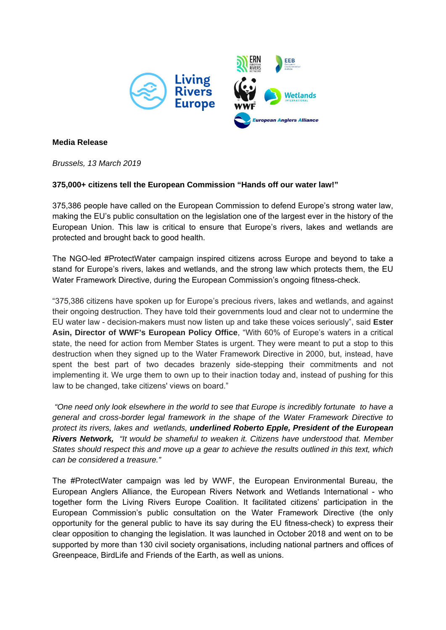

#### **Media Release**

*Brussels, 13 March 2019* 

# **375,000+ citizens tell the European Commission "Hands off our water law!"**

375,386 people have called on the European Commission to defend Europe's strong water law, making the EU's public consultation on the legislation one of the largest ever in the history of the European Union. This law is critical to ensure that Europe's rivers, lakes and wetlands are protected and brought back to good health.

The NGO-led #ProtectWater campaign inspired citizens across Europe and beyond to take a stand for Europe's rivers, lakes and wetlands, and the strong law which protects them, the EU Water Framework Directive, during the European Commission's ongoing fitness-check.

"375,386 citizens have spoken up for Europe's precious rivers, lakes and wetlands, and against their ongoing destruction. They have told their governments loud and clear not to undermine the EU water law - decision-makers must now listen up and take these voices seriously", said **Ester Asin, Director of WWF's European Policy Office**, "With 60% of Europe's waters in a critical state, the need for action from Member States is urgent. They were meant to put a stop to this destruction when they signed up to the Water Framework Directive in 2000, but, instead, have spent the best part of two decades brazenly side-stepping their commitments and not implementing it. We urge them to own up to their inaction today and, instead of pushing for this law to be changed, take citizens' views on board."

 *"One need only look elsewhere in the world to see that Europe is incredibly fortunate to have a general and cross-border legal framework in the shape of the Water Framework Directive to protect its rivers, lakes and wetlands, underlined Roberto Epple, President of the European Rivers Network, "It would be shameful to weaken it. Citizens have understood that. Member States should respect this and move up a gear to achieve the results outlined in this text, which can be considered a treasure."* 

The #ProtectWater campaign was led by WWF, the European Environmental Bureau, the European Anglers Alliance, the European Rivers Network and Wetlands International - who together form the Living Rivers Europe Coalition. It facilitated citizens' participation in the European Commission's public consultation on the Water Framework Directive (the only opportunity for the general public to have its say during the EU fitness-check) to express their clear opposition to changing the legislation. It was launched in October 2018 and went on to be supported by more than 130 civil society organisations, including national partners and offices of Greenpeace, BirdLife and Friends of the Earth, as well as unions.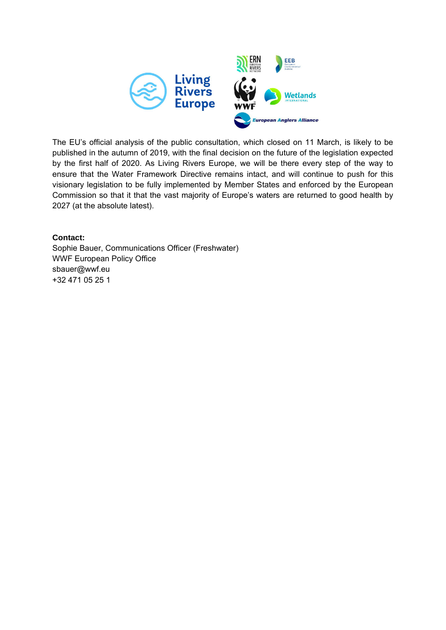

The EU's official analysis of the public consultation, which closed on 11 March, is likely to be published in the autumn of 2019, with the final decision on the future of the legislation expected by the first half of 2020. As Living Rivers Europe, we will be there every step of the way to ensure that the Water Framework Directive remains intact, and will continue to push for this visionary legislation to be fully implemented by Member States and enforced by the European Commission so that it that the vast majority of Europe's waters are returned to good health by 2027 (at the absolute latest).

### **Contact:**

Sophie Bauer, Communications Officer (Freshwater) WWF European Policy Office sbauer@wwf.eu +32 471 05 25 1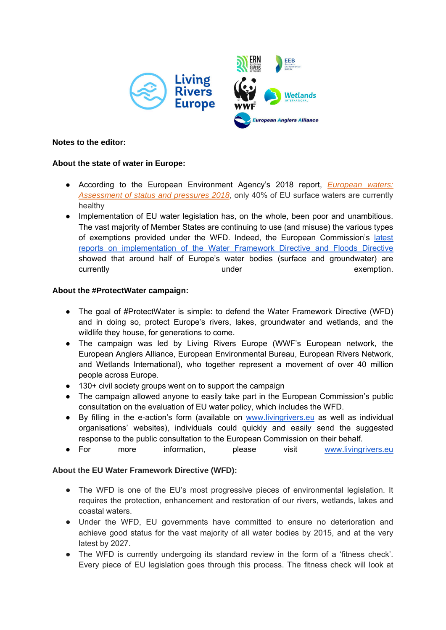

#### **Notes to the editor:**

### **About the state of water in Europe:**

- According to the European Environment Agency's 2018 report, *European waters: Assessment of status and pressures 2018*, only 40% of EU surface waters are currently healthy
- Implementation of EU water legislation has, on the whole, been poor and unambitious. The vast majority of Member States are continuing to use (and misuse) the various types of exemptions provided under the WFD. Indeed, the European Commission's latest reports on implementation of the Water Framework Directive and Floods Directive showed that around half of Europe's water bodies (surface and groundwater) are currently exemption.

# **About the #ProtectWater campaign:**

- The goal of #ProtectWater is simple: to defend the Water Framework Directive (WFD) and in doing so, protect Europe's rivers, lakes, groundwater and wetlands, and the wildlife they house, for generations to come.
- The campaign was led by Living Rivers Europe (WWF's European network, the European Anglers Alliance, European Environmental Bureau, European Rivers Network, and Wetlands International), who together represent a movement of over 40 million people across Europe.
- 130+ civil society groups went on to support the campaign
- The campaign allowed anyone to easily take part in the European Commission's public consultation on the evaluation of EU water policy, which includes the WFD.
- By filling in the e-action's form (available on www.livingrivers.eu as well as individual organisations' websites), individuals could quickly and easily send the suggested response to the public consultation to the European Commission on their behalf.
- For more information, please visit www.livingrivers.eu

# **About the EU Water Framework Directive (WFD):**

- The WFD is one of the EU's most progressive pieces of environmental legislation. It requires the protection, enhancement and restoration of our rivers, wetlands, lakes and coastal waters.
- Under the WFD, EU governments have committed to ensure no deterioration and achieve good status for the vast majority of all water bodies by 2015, and at the very latest by 2027.
- The WFD is currently undergoing its standard review in the form of a 'fitness check'. Every piece of EU legislation goes through this process. The fitness check will look at